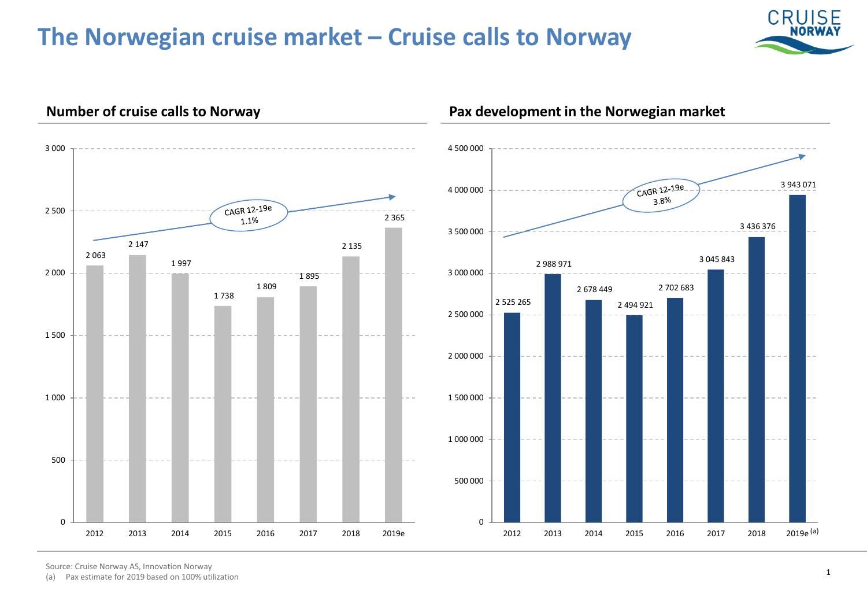# **The Norwegian cruise market – Cruise calls to Norway**



3 943 071

3 436 376



### **Number of cruise calls to Norway Pax development in the Norwegian market**

Source: Cruise Norway AS, Innovation Norway

(a) Pax estimate for 2019 based on 100% utilization

 $2019e^{(a)}$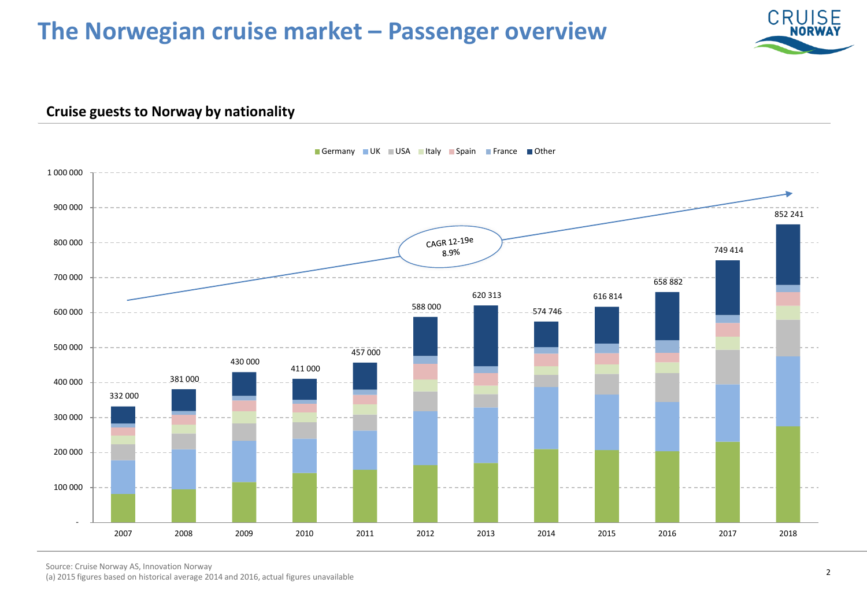# **The Norwegian cruise market – Passenger overview**



### **Cruise guests to Norway by nationality**



### Germany UK USA Italy Spain France Other

Source: Cruise Norway AS, Innovation Norway

(a) 2015 figures based on historical average 2014 and 2016, actual figures unavailable